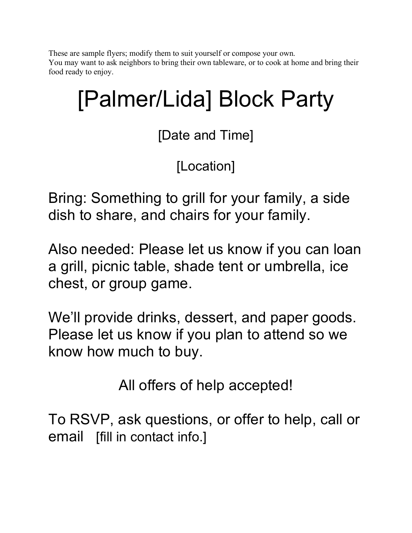These are sample flyers; modify them to suit yourself or compose your own. You may want to ask neighbors to bring their own tableware, or to cook at home and bring their food ready to enjoy.

# [Palmer/Lida] Block Party

[Date and Time]

[Location]

Bring: Something to grill for your family, a side dish to share, and chairs for your family.

Also needed: Please let us know if you can loan a grill, picnic table, shade tent or umbrella, ice chest, or group game.

We'll provide drinks, dessert, and paper goods. Please let us know if you plan to attend so we know how much to buy.

All offers of help accepted!

To RSVP, ask questions, or offer to help, call or email [fill in contact info.]